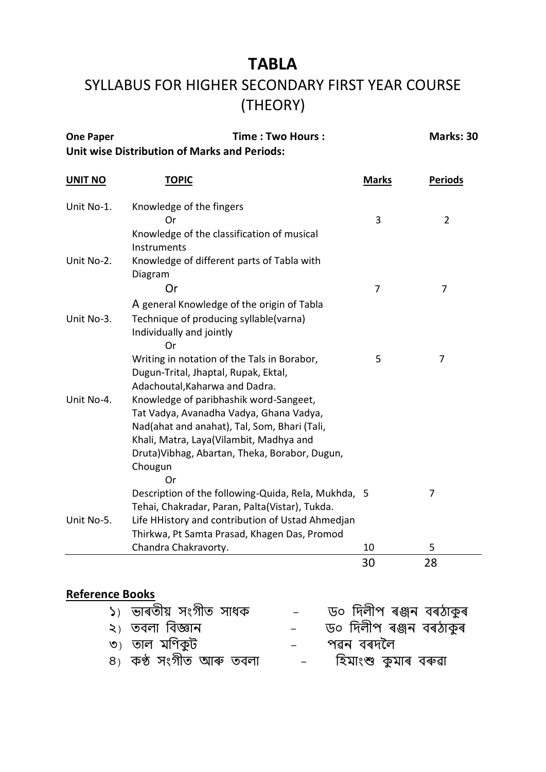## **TABLA** SYLLABUS FOR HIGHER SECONDARY FIRST YEAR COURSE (THEORY)

| <b>One Paper</b>                                    | Time : Two Hours : | <b>Marks: 30</b> |
|-----------------------------------------------------|--------------------|------------------|
| <b>Unit wise Distribution of Marks and Periods:</b> |                    |                  |

| <b>UNIT NO</b> | <b>TOPIC</b>                                        | <b>Marks</b> | <b>Periods</b> |
|----------------|-----------------------------------------------------|--------------|----------------|
| Unit No-1.     | Knowledge of the fingers                            |              |                |
|                | Οr                                                  | 3            | $\overline{2}$ |
|                | Knowledge of the classification of musical          |              |                |
|                | Instruments                                         |              |                |
| Unit No-2.     | Knowledge of different parts of Tabla with          |              |                |
|                | Diagram                                             |              |                |
|                | Or                                                  | 7            | 7              |
|                | A general Knowledge of the origin of Tabla          |              |                |
| Unit No-3.     | Technique of producing syllable(varna)              |              |                |
|                | Individually and jointly                            |              |                |
|                | Or                                                  |              |                |
|                | Writing in notation of the Tals in Borabor,         | 5            | 7              |
|                | Dugun-Trital, Jhaptal, Rupak, Ektal,                |              |                |
|                | Adachoutal, Kaharwa and Dadra.                      |              |                |
| Unit No-4.     | Knowledge of paribhashik word-Sangeet,              |              |                |
|                | Tat Vadya, Avanadha Vadya, Ghana Vadya,             |              |                |
|                | Nad(ahat and anahat), Tal, Som, Bhari (Tali,        |              |                |
|                | Khali, Matra, Laya(Vilambit, Madhya and             |              |                |
|                | Druta) Vibhag, Abartan, Theka, Borabor, Dugun,      |              |                |
|                | Chougun                                             |              |                |
|                | Or                                                  |              |                |
|                | Description of the following-Quida, Rela, Mukhda, 5 |              | 7              |
|                | Tehai, Chakradar, Paran, Palta(Vistar), Tukda.      |              |                |
| Unit No-5.     | Life HHistory and contribution of Ustad Ahmedjan    |              |                |
|                | Thirkwa, Pt Samta Prasad, Khagen Das, Promod        |              |                |
|                | Chandra Chakravorty.                                | 10           | 5              |
|                |                                                     | 30           | 28             |

## **Reference Books**

| ১) ভাৰতীয় সংগীত সাধক  | ড০ দিলীপ ৰঞ্জন বৰঠাকুৰ |
|------------------------|------------------------|
| ২) তবলা বিজ্ঞান        | ড০ দিলীপ ৰঞ্জন বৰঠাকুৰ |
| ৩) তাল মণিকুট          | পৱন বৰদলৈ              |
| ৪) কণ্ঠ সংগীত আৰু তবলা | হিমাংশু কুমাৰ বৰুৱা    |